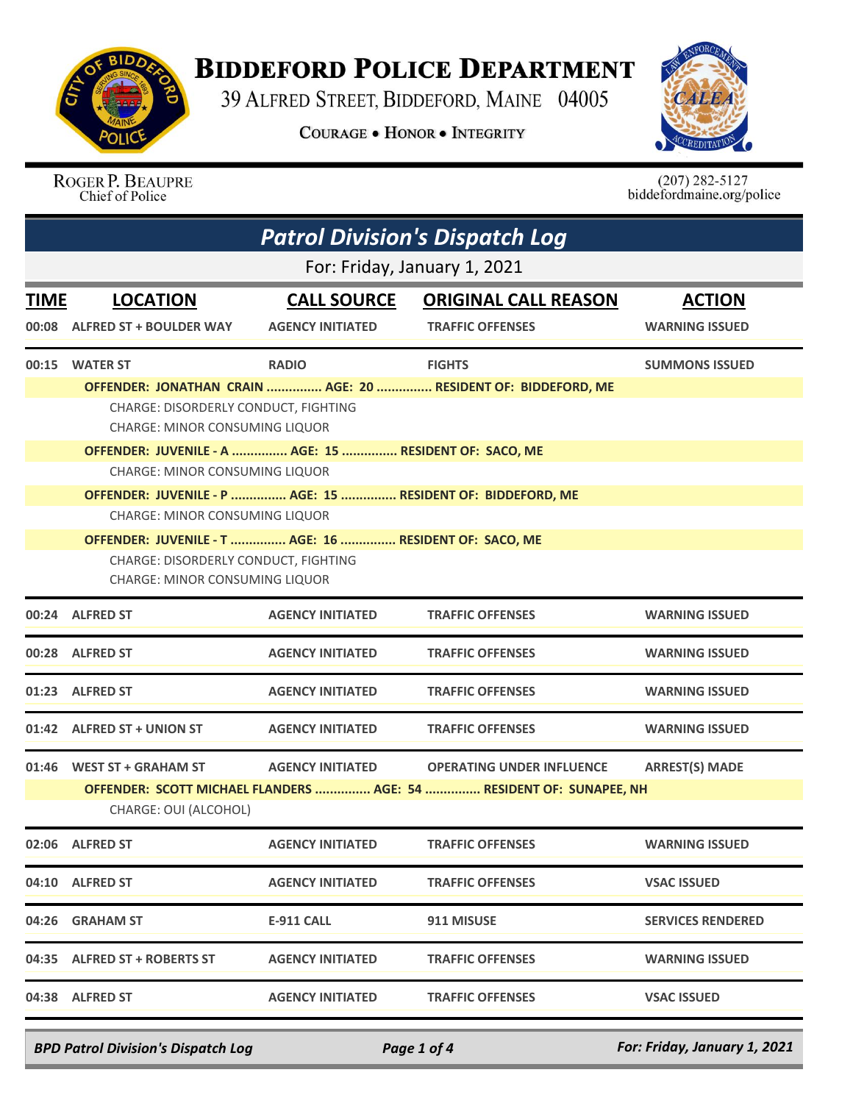

## **BIDDEFORD POLICE DEPARTMENT**

39 ALFRED STREET, BIDDEFORD, MAINE 04005

**COURAGE . HONOR . INTEGRITY** 



ROGER P. BEAUPRE Chief of Police

 $(207)$  282-5127<br>biddefordmaine.org/police

| <b>Patrol Division's Dispatch Log</b>                                                                                                  |                                                                                                                                         |                                               |                                                                                                         |                                        |  |  |
|----------------------------------------------------------------------------------------------------------------------------------------|-----------------------------------------------------------------------------------------------------------------------------------------|-----------------------------------------------|---------------------------------------------------------------------------------------------------------|----------------------------------------|--|--|
| For: Friday, January 1, 2021                                                                                                           |                                                                                                                                         |                                               |                                                                                                         |                                        |  |  |
| <b>TIME</b>                                                                                                                            | <b>LOCATION</b><br>00:08 ALFRED ST + BOULDER WAY                                                                                        | <b>CALL SOURCE</b><br><b>AGENCY INITIATED</b> | <b>ORIGINAL CALL REASON</b><br><b>TRAFFIC OFFENSES</b>                                                  | <b>ACTION</b><br><b>WARNING ISSUED</b> |  |  |
| 00:15                                                                                                                                  | <b>WATER ST</b>                                                                                                                         | <b>RADIO</b>                                  | <b>FIGHTS</b><br>OFFENDER: JONATHAN CRAIN  AGE: 20  RESIDENT OF: BIDDEFORD, ME                          | <b>SUMMONS ISSUED</b>                  |  |  |
|                                                                                                                                        | CHARGE: DISORDERLY CONDUCT, FIGHTING<br><b>CHARGE: MINOR CONSUMING LIQUOR</b>                                                           |                                               |                                                                                                         |                                        |  |  |
|                                                                                                                                        | OFFENDER: JUVENILE - A  AGE: 15  RESIDENT OF: SACO, ME                                                                                  |                                               |                                                                                                         |                                        |  |  |
| <b>CHARGE: MINOR CONSUMING LIQUOR</b><br>OFFENDER: JUVENILE - P  AGE: 15  RESIDENT OF: BIDDEFORD, ME<br>CHARGE: MINOR CONSUMING LIQUOR |                                                                                                                                         |                                               |                                                                                                         |                                        |  |  |
|                                                                                                                                        | OFFENDER: JUVENILE - T  AGE: 16  RESIDENT OF: SACO, ME<br>CHARGE: DISORDERLY CONDUCT, FIGHTING<br><b>CHARGE: MINOR CONSUMING LIQUOR</b> |                                               |                                                                                                         |                                        |  |  |
|                                                                                                                                        | 00:24 ALFRED ST                                                                                                                         | <b>AGENCY INITIATED</b>                       | <b>TRAFFIC OFFENSES</b>                                                                                 | <b>WARNING ISSUED</b>                  |  |  |
|                                                                                                                                        | 00:28 ALFRED ST                                                                                                                         | <b>AGENCY INITIATED</b>                       | <b>TRAFFIC OFFENSES</b>                                                                                 | <b>WARNING ISSUED</b>                  |  |  |
|                                                                                                                                        | 01:23 ALFRED ST                                                                                                                         | <b>AGENCY INITIATED</b>                       | <b>TRAFFIC OFFENSES</b>                                                                                 | <b>WARNING ISSUED</b>                  |  |  |
|                                                                                                                                        | 01:42 ALFRED ST + UNION ST                                                                                                              | <b>AGENCY INITIATED</b>                       | <b>TRAFFIC OFFENSES</b>                                                                                 | <b>WARNING ISSUED</b>                  |  |  |
|                                                                                                                                        | 01:46 WEST ST + GRAHAM ST<br>CHARGE: OUI (ALCOHOL)                                                                                      | <b>AGENCY INITIATED</b>                       | <b>OPERATING UNDER INFLUENCE</b><br>OFFENDER: SCOTT MICHAEL FLANDERS  AGE: 54  RESIDENT OF: SUNAPEE, NH | <b>ARREST(S) MADE</b>                  |  |  |
|                                                                                                                                        | 02:06 ALFRED ST                                                                                                                         | <b>AGENCY INITIATED</b>                       | <b>TRAFFIC OFFENSES</b>                                                                                 | <b>WARNING ISSUED</b>                  |  |  |
|                                                                                                                                        | 04:10 ALFRED ST                                                                                                                         | <b>AGENCY INITIATED</b>                       | <b>TRAFFIC OFFENSES</b>                                                                                 | <b>VSAC ISSUED</b>                     |  |  |
|                                                                                                                                        | 04:26 GRAHAM ST                                                                                                                         | <b>E-911 CALL</b>                             | 911 MISUSE                                                                                              | <b>SERVICES RENDERED</b>               |  |  |
|                                                                                                                                        | 04:35 ALFRED ST + ROBERTS ST                                                                                                            | <b>AGENCY INITIATED</b>                       | <b>TRAFFIC OFFENSES</b>                                                                                 | <b>WARNING ISSUED</b>                  |  |  |
|                                                                                                                                        | 04:38 ALFRED ST                                                                                                                         | <b>AGENCY INITIATED</b>                       | <b>TRAFFIC OFFENSES</b>                                                                                 | <b>VSAC ISSUED</b>                     |  |  |

*BPD Patrol Division's Dispatch Log Page 1 of 4 For: Friday, January 1, 2021*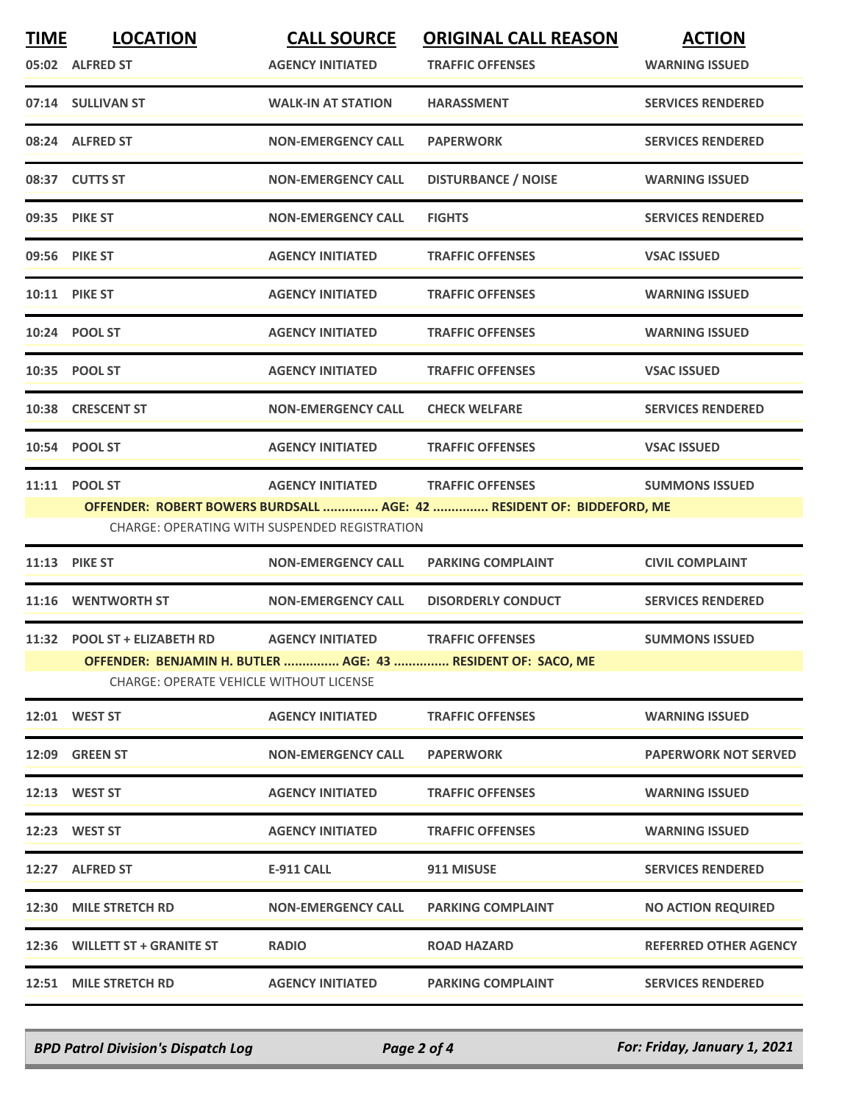| <b>TIME</b> | <b>LOCATION</b><br>05:02 ALFRED ST                                             | <b>CALL SOURCE</b><br><b>AGENCY INITIATED</b>                                   | <b>ORIGINAL CALL REASON</b><br><b>TRAFFIC OFFENSES</b>                                           | <b>ACTION</b><br><b>WARNING ISSUED</b> |
|-------------|--------------------------------------------------------------------------------|---------------------------------------------------------------------------------|--------------------------------------------------------------------------------------------------|----------------------------------------|
|             | 07:14 SULLIVAN ST                                                              | <b>WALK-IN AT STATION</b>                                                       | <b>HARASSMENT</b>                                                                                | <b>SERVICES RENDERED</b>               |
|             | 08:24 ALFRED ST                                                                | <b>NON-EMERGENCY CALL</b>                                                       | <b>PAPERWORK</b>                                                                                 | <b>SERVICES RENDERED</b>               |
|             | 08:37 CUTTS ST                                                                 | <b>NON-EMERGENCY CALL</b>                                                       | <b>DISTURBANCE / NOISE</b>                                                                       | <b>WARNING ISSUED</b>                  |
|             | 09:35 PIKE ST                                                                  | <b>NON-EMERGENCY CALL</b>                                                       | <b>FIGHTS</b>                                                                                    | <b>SERVICES RENDERED</b>               |
|             | 09:56 PIKE ST                                                                  | <b>AGENCY INITIATED</b>                                                         | <b>TRAFFIC OFFENSES</b>                                                                          | <b>VSAC ISSUED</b>                     |
|             | <b>10:11 PIKE ST</b>                                                           | <b>AGENCY INITIATED</b>                                                         | <b>TRAFFIC OFFENSES</b>                                                                          | <b>WARNING ISSUED</b>                  |
|             | 10:24 POOL ST                                                                  | <b>AGENCY INITIATED</b>                                                         | <b>TRAFFIC OFFENSES</b>                                                                          | <b>WARNING ISSUED</b>                  |
|             | 10:35 POOL ST                                                                  | <b>AGENCY INITIATED</b>                                                         | <b>TRAFFIC OFFENSES</b>                                                                          | <b>VSAC ISSUED</b>                     |
|             | 10:38 CRESCENT ST                                                              | <b>NON-EMERGENCY CALL</b>                                                       | <b>CHECK WELFARE</b>                                                                             | <b>SERVICES RENDERED</b>               |
|             | 10:54 POOL ST                                                                  | <b>AGENCY INITIATED</b>                                                         | <b>TRAFFIC OFFENSES</b>                                                                          | <b>VSAC ISSUED</b>                     |
|             | 11:11 POOL ST                                                                  | <b>AGENCY INITIATED</b><br><b>CHARGE: OPERATING WITH SUSPENDED REGISTRATION</b> | <b>TRAFFIC OFFENSES</b><br>OFFENDER: ROBERT BOWERS BURDSALL  AGE: 42  RESIDENT OF: BIDDEFORD, ME | <b>SUMMONS ISSUED</b>                  |
|             | <b>11:13 PIKE ST</b>                                                           | <b>NON-EMERGENCY CALL</b>                                                       | <b>PARKING COMPLAINT</b>                                                                         | <b>CIVIL COMPLAINT</b>                 |
|             | 11:16 WENTWORTH ST                                                             | <b>NON-EMERGENCY CALL</b>                                                       | <b>DISORDERLY CONDUCT</b>                                                                        | <b>SERVICES RENDERED</b>               |
|             | 11:32 POOL ST + ELIZABETH RD<br><b>CHARGE: OPERATE VEHICLE WITHOUT LICENSE</b> | <b>AGENCY INITIATED</b>                                                         | <b>TRAFFIC OFFENSES</b><br>OFFENDER: BENJAMIN H. BUTLER  AGE: 43  RESIDENT OF: SACO, ME          | <b>SUMMONS ISSUED</b>                  |
|             | 12:01 WEST ST                                                                  | <b>AGENCY INITIATED</b>                                                         | <b>TRAFFIC OFFENSES</b>                                                                          | <b>WARNING ISSUED</b>                  |
|             | 12:09 GREEN ST                                                                 | <b>NON-EMERGENCY CALL</b>                                                       | <b>PAPERWORK</b>                                                                                 | <b>PAPERWORK NOT SERVED</b>            |
|             | 12:13 WEST ST                                                                  | <b>AGENCY INITIATED</b>                                                         | <b>TRAFFIC OFFENSES</b>                                                                          | <b>WARNING ISSUED</b>                  |
|             | 12:23 WEST ST                                                                  | <b>AGENCY INITIATED</b>                                                         | <b>TRAFFIC OFFENSES</b>                                                                          | <b>WARNING ISSUED</b>                  |
|             | 12:27 ALFRED ST                                                                | <b>E-911 CALL</b>                                                               | 911 MISUSE                                                                                       | <b>SERVICES RENDERED</b>               |
|             | 12:30 MILE STRETCH RD                                                          | <b>NON-EMERGENCY CALL</b>                                                       | <b>PARKING COMPLAINT</b>                                                                         | <b>NO ACTION REQUIRED</b>              |
|             | 12:36 WILLETT ST + GRANITE ST                                                  | <b>RADIO</b>                                                                    | <b>ROAD HAZARD</b>                                                                               | <b>REFERRED OTHER AGENCY</b>           |
|             | 12:51 MILE STRETCH RD                                                          | <b>AGENCY INITIATED</b>                                                         | <b>PARKING COMPLAINT</b>                                                                         | <b>SERVICES RENDERED</b>               |

*BPD Patrol Division's Dispatch Log Page 2 of 4 For: Friday, January 1, 2021*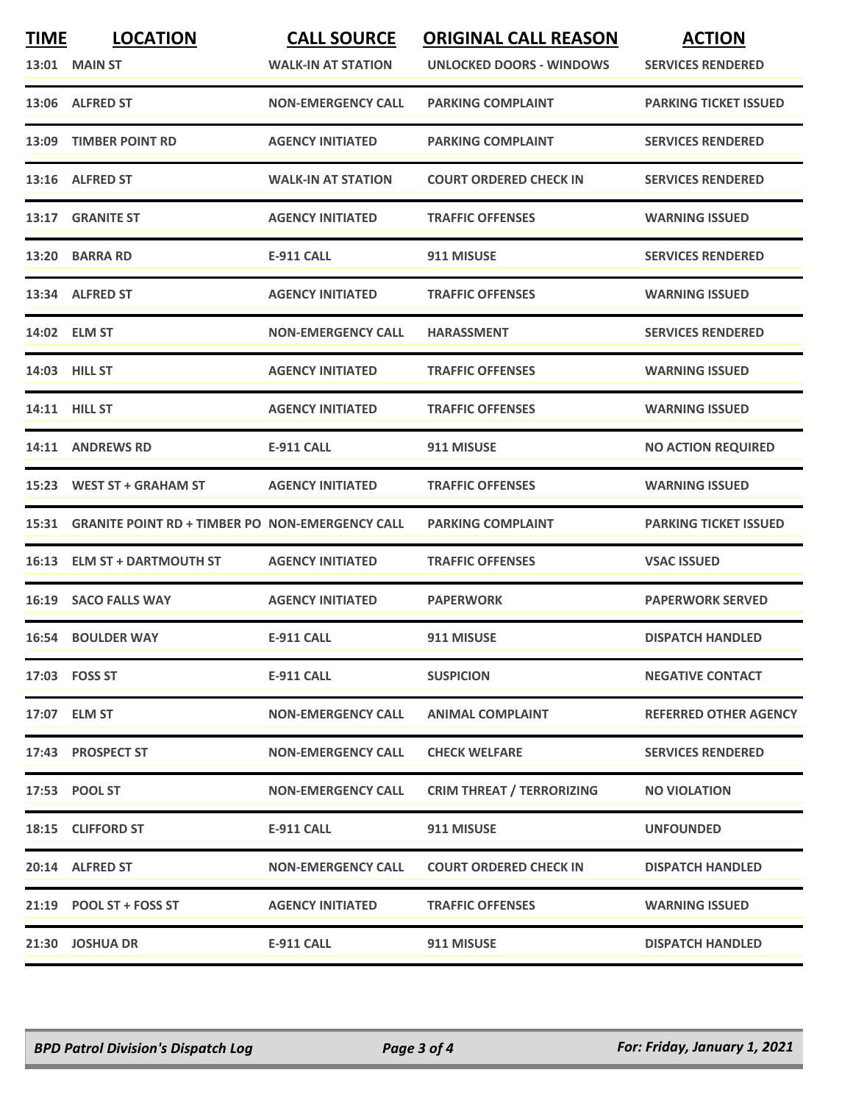| <b>TIME</b> | <b>LOCATION</b><br><b>13:01 MAIN ST</b>                | <b>CALL SOURCE</b><br><b>WALK-IN AT STATION</b> | <b>ORIGINAL CALL REASON</b><br>UNLOCKED DOORS - WINDOWS | <b>ACTION</b><br><b>SERVICES RENDERED</b> |
|-------------|--------------------------------------------------------|-------------------------------------------------|---------------------------------------------------------|-------------------------------------------|
|             | 13:06 ALFRED ST                                        | <b>NON-EMERGENCY CALL</b>                       | <b>PARKING COMPLAINT</b>                                | <b>PARKING TICKET ISSUED</b>              |
| 13:09       | <b>TIMBER POINT RD</b>                                 | <b>AGENCY INITIATED</b>                         | <b>PARKING COMPLAINT</b>                                | <b>SERVICES RENDERED</b>                  |
|             | 13:16 ALFRED ST                                        | <b>WALK-IN AT STATION</b>                       | <b>COURT ORDERED CHECK IN</b>                           | <b>SERVICES RENDERED</b>                  |
|             | 13:17 GRANITE ST                                       | <b>AGENCY INITIATED</b>                         | <b>TRAFFIC OFFENSES</b>                                 | <b>WARNING ISSUED</b>                     |
|             | 13:20 BARRA RD                                         | <b>E-911 CALL</b>                               | 911 MISUSE                                              | <b>SERVICES RENDERED</b>                  |
|             | 13:34 ALFRED ST                                        | <b>AGENCY INITIATED</b>                         | <b>TRAFFIC OFFENSES</b>                                 | <b>WARNING ISSUED</b>                     |
|             | 14:02 ELM ST                                           | <b>NON-EMERGENCY CALL</b>                       | <b>HARASSMENT</b>                                       | <b>SERVICES RENDERED</b>                  |
|             | 14:03 HILL ST                                          | <b>AGENCY INITIATED</b>                         | <b>TRAFFIC OFFENSES</b>                                 | <b>WARNING ISSUED</b>                     |
|             | <b>14:11 HILL ST</b>                                   | <b>AGENCY INITIATED</b>                         | <b>TRAFFIC OFFENSES</b>                                 | <b>WARNING ISSUED</b>                     |
|             | 14:11 ANDREWS RD                                       | <b>E-911 CALL</b>                               | 911 MISUSE                                              | <b>NO ACTION REQUIRED</b>                 |
|             | 15:23 WEST ST + GRAHAM ST                              | <b>AGENCY INITIATED</b>                         | <b>TRAFFIC OFFENSES</b>                                 | <b>WARNING ISSUED</b>                     |
| 15:31       | <b>GRANITE POINT RD + TIMBER PO NON-EMERGENCY CALL</b> |                                                 | <b>PARKING COMPLAINT</b>                                | <b>PARKING TICKET ISSUED</b>              |
|             | 16:13 ELM ST + DARTMOUTH ST                            | <b>AGENCY INITIATED</b>                         | <b>TRAFFIC OFFENSES</b>                                 | <b>VSAC ISSUED</b>                        |
|             | 16:19 SACO FALLS WAY                                   | <b>AGENCY INITIATED</b>                         | <b>PAPERWORK</b>                                        | <b>PAPERWORK SERVED</b>                   |
|             | <b>16:54 BOULDER WAY</b>                               | <b>E-911 CALL</b>                               | 911 MISUSE                                              | <b>DISPATCH HANDLED</b>                   |
|             | 17:03 FOSS ST                                          | <b>E-911 CALL</b>                               | <b>SUSPICION</b>                                        | <b>NEGATIVE CONTACT</b>                   |
|             | 17:07 ELM ST                                           | <b>NON-EMERGENCY CALL</b>                       | <b>ANIMAL COMPLAINT</b>                                 | <b>REFERRED OTHER AGENCY</b>              |
|             | 17:43 PROSPECT ST                                      | <b>NON-EMERGENCY CALL</b>                       | <b>CHECK WELFARE</b>                                    | <b>SERVICES RENDERED</b>                  |
|             | 17:53 POOL ST                                          | <b>NON-EMERGENCY CALL</b>                       | <b>CRIM THREAT / TERRORIZING</b>                        | <b>NO VIOLATION</b>                       |
|             | 18:15 CLIFFORD ST                                      | <b>E-911 CALL</b>                               | 911 MISUSE                                              | <b>UNFOUNDED</b>                          |
|             | 20:14 ALFRED ST                                        | <b>NON-EMERGENCY CALL</b>                       | <b>COURT ORDERED CHECK IN</b>                           | <b>DISPATCH HANDLED</b>                   |
|             | $21:19$ POOL ST + FOSS ST                              | <b>AGENCY INITIATED</b>                         | <b>TRAFFIC OFFENSES</b>                                 | <b>WARNING ISSUED</b>                     |
|             | 21:30 JOSHUA DR                                        | <b>E-911 CALL</b>                               | 911 MISUSE                                              | <b>DISPATCH HANDLED</b>                   |